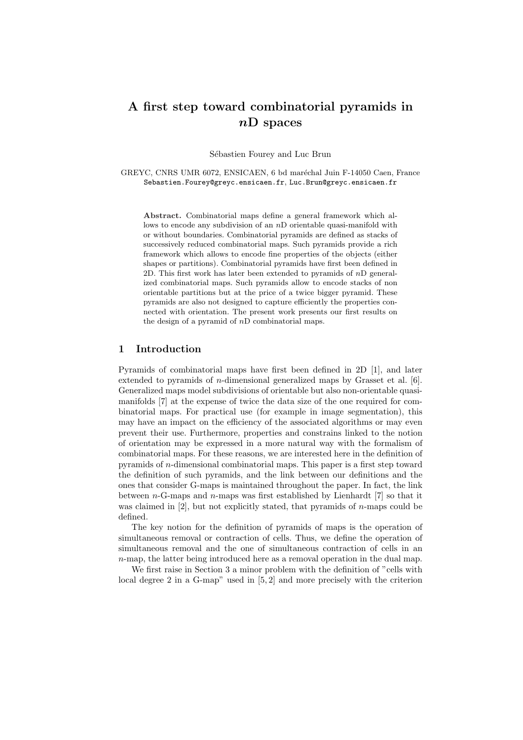# A first step toward combinatorial pyramids in  $n<sub>D</sub>$  spaces

Sébastien Fourey and Luc Brun

GREYC, CNRS UMR 6072, ENSICAEN, 6 bd maréchal Juin F-14050 Caen, France Sebastien.Fourey@greyc.ensicaen.fr, Luc.Brun@greyc.ensicaen.fr

Abstract. Combinatorial maps define a general framework which allows to encode any subdivision of an nD orientable quasi-manifold with or without boundaries. Combinatorial pyramids are defined as stacks of successively reduced combinatorial maps. Such pyramids provide a rich framework which allows to encode fine properties of the objects (either shapes or partitions). Combinatorial pyramids have first been defined in 2D. This first work has later been extended to pyramids of  $nD$  generalized combinatorial maps. Such pyramids allow to encode stacks of non orientable partitions but at the price of a twice bigger pyramid. These pyramids are also not designed to capture efficiently the properties connected with orientation. The present work presents our first results on the design of a pyramid of nD combinatorial maps.

### 1 Introduction

Pyramids of combinatorial maps have first been defined in 2D [1], and later extended to pyramids of n-dimensional generalized maps by Grasset et al. [6]. Generalized maps model subdivisions of orientable but also non-orientable quasimanifolds [7] at the expense of twice the data size of the one required for combinatorial maps. For practical use (for example in image segmentation), this may have an impact on the efficiency of the associated algorithms or may even prevent their use. Furthermore, properties and constrains linked to the notion of orientation may be expressed in a more natural way with the formalism of combinatorial maps. For these reasons, we are interested here in the definition of pyramids of n-dimensional combinatorial maps. This paper is a first step toward the definition of such pyramids, and the link between our definitions and the ones that consider G-maps is maintained throughout the paper. In fact, the link between  $n$ -G-maps and  $n$ -maps was first established by Lienhardt [7] so that it was claimed in  $[2]$ , but not explicitly stated, that pyramids of *n*-maps could be defined.

The key notion for the definition of pyramids of maps is the operation of simultaneous removal or contraction of cells. Thus, we define the operation of simultaneous removal and the one of simultaneous contraction of cells in an  $n$ -map, the latter being introduced here as a removal operation in the dual map.

We first raise in Section 3 a minor problem with the definition of "cells with local degree 2 in a G-map" used in [5, 2] and more precisely with the criterion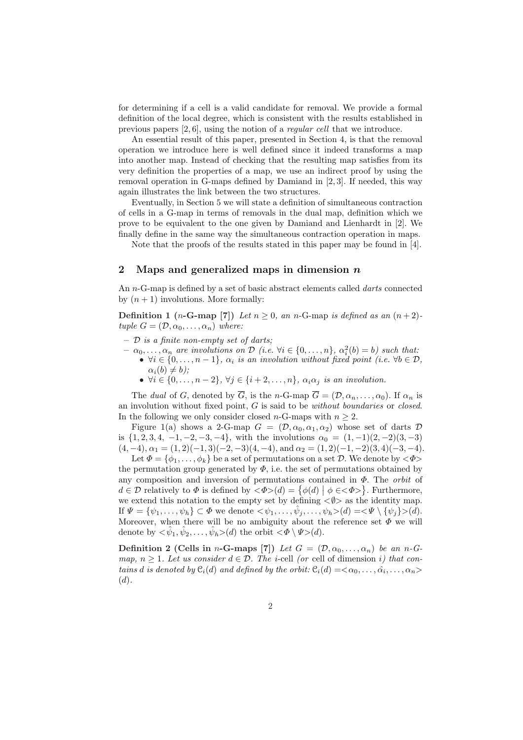for determining if a cell is a valid candidate for removal. We provide a formal definition of the local degree, which is consistent with the results established in previous papers [2, 6], using the notion of a regular cell that we introduce.

An essential result of this paper, presented in Section 4, is that the removal operation we introduce here is well defined since it indeed transforms a map into another map. Instead of checking that the resulting map satisfies from its very definition the properties of a map, we use an indirect proof by using the removal operation in G-maps defined by Damiand in [2, 3]. If needed, this way again illustrates the link between the two structures.

Eventually, in Section 5 we will state a definition of simultaneous contraction of cells in a G-map in terms of removals in the dual map, definition which we prove to be equivalent to the one given by Damiand and Lienhardt in [2]. We finally define in the same way the simultaneous contraction operation in maps.

Note that the proofs of the results stated in this paper may be found in [4].

### 2 Maps and generalized maps in dimension  $n$

An  $n-\text{G-map}$  is defined by a set of basic abstract elements called *darts* connected by  $(n + 1)$  involutions. More formally:

**Definition 1** (*n*-G-map [7]) Let  $n > 0$ , an *n*-G-map is defined as an  $(n+2)$ tuple  $G = (\mathcal{D}, \alpha_0, \dots, \alpha_n)$  where:

- $-$  D is a finite non-empty set of darts;
- $\alpha_0, \ldots, \alpha_n$  are involutions on  $\mathcal{D}$  (i.e.  $\forall i \in \{0, \ldots, n\}$ ,  $\alpha_i^2(b) = b$ ) such that: •  $\forall i \in \{0, \ldots, n-1\}, \alpha_i$  is an involution without fixed point (i.e.  $\forall b \in \mathcal{D},$  $\alpha_i(b) \neq b$ ;
	- $\forall i \in \{0, \ldots, n-2\}, \forall j \in \{i+2, \ldots, n\}, \alpha_i \alpha_j \text{ is an involution.}$

The dual of G, denoted by  $\overline{G}$ , is the n-G-map  $\overline{G} = (\mathcal{D}, \alpha_n, \dots, \alpha_0)$ . If  $\alpha_n$  is an involution without fixed point,  $G$  is said to be *without boundaries* or *closed*. In the following we only consider closed *n*-G-maps with  $n > 2$ .

Figure 1(a) shows a 2-G-map  $G = (\mathcal{D}, \alpha_0, \alpha_1, \alpha_2)$  whose set of darts  $\mathcal D$ is  $\{1, 2, 3, 4, -1, -2, -3, -4\}$ , with the involutions  $\alpha_0 = (1, -1)(2, -2)(3, -3)$  $(4, -4), \alpha_1 = (1, 2)(-1, 3)(-2, -3)(4, -4), \text{ and } \alpha_2 = (1, 2)(-1, -2)(3, 4)(-3, -4).$ 

Let  $\Phi = {\phi_1, \ldots, \phi_k}$  be a set of permutations on a set  $\mathcal{D}$ . We denote by  $\langle \Phi \rangle$ the permutation group generated by  $\Phi$ , i.e. the set of permutations obtained by any composition and inversion of permutations contained in  $\Phi$ . The *orbit* of any composition and inversion of permutations contained in  $\Psi$ . The *oroit* of  $d \in \mathcal{D}$  relatively to  $\Phi$  is defined by  $\langle \Phi \rangle(d) = \{ \phi(d) | \phi \in \langle \Phi \rangle \}$ . Furthermore, we extend this notation to the empty set by defining  $\langle \varnothing \rangle$  as the identity map. If  $\Psi = {\psi_1, \ldots, \psi_h} \subset \Phi$  we denote  $\langle \psi_1, \ldots, \hat{\psi}_j, \ldots, \psi_h \rangle(d) = \langle \Psi \setminus {\psi_j} \rangle(d)$ . Moreover, when there will be no ambiguity about the reference set  $\Phi$  we will denote by  $\langle \hat{\psi}_1, \hat{\psi}_2, \dots, \hat{\psi}_h \rangle(d)$  the orbit  $\langle \Phi \setminus \Psi \rangle(d)$ .

Definition 2 (Cells in n-G-maps [7]) Let  $G = (\mathcal{D}, \alpha_0, \dots, \alpha_n)$  be an n-Gmap,  $n \geq 1$ . Let us consider  $d \in \mathcal{D}$ . The *i*-cell (or cell of dimension *i*) that contains d is denoted by  $\mathfrak{C}_i(d)$  and defined by the orbit:  $\mathfrak{C}_i(d) = \langle \alpha_0, \ldots, \hat{\alpha_i}, \ldots, \alpha_n \rangle$  $(d).$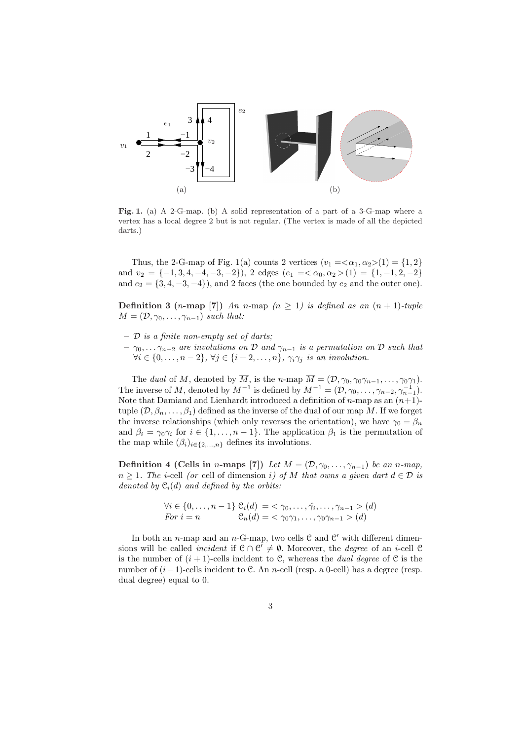

Fig. 1. (a) A 2-G-map. (b) A solid representation of a part of a 3-G-map where a vertex has a local degree 2 but is not regular. (The vertex is made of all the depicted darts.)

Thus, the 2-G-map of Fig. 1(a) counts 2 vertices  $(v_1 = \langle \alpha_1, \alpha_2 \rangle (1) = \{1, 2\}$ and  $v_2 = \{-1, 3, 4, -4, -3, -2\}$ , 2 edges  $(e_1 =  $\alpha_0, \alpha_2 > (1) = \{1, -1, 2, -2\}$$ and  $e_2 = \{3, 4, -3, -4\}$ , and 2 faces (the one bounded by  $e_2$  and the outer one).

Definition 3 (*n*-map [7]) An *n*-map  $(n \geq 1)$  is defined as an  $(n + 1)$ -tuple  $M = (\mathcal{D}, \gamma_0, \ldots, \gamma_{n-1})$  such that:

- $-$  D is a finite non-empty set of darts;
- $-\gamma_0, \ldots, \gamma_{n-2}$  are involutions on D and  $\gamma_{n-1}$  is a permutation on D such that  $\forall i \in \{0, \ldots, n-2\}, \forall j \in \{i+2, \ldots, n\}, \gamma_i \gamma_j$  is an involution.

The dual of M, denoted by  $\overline{M}$ , is the n-map  $\overline{M} = (\mathcal{D}, \gamma_0, \gamma_0 \gamma_{n-1}, \dots, \gamma_0 \gamma_1)$ . The inverse of M, denoted by  $M^{-1}$  is defined by  $M^{-1} = (\mathcal{D}, \gamma_0, \ldots, \gamma_{n-2}, \gamma_{n-1}^{-1}).$ Note that Damiand and Lienhardt introduced a definition of  $n$ -map as an  $(n+1)$ tuple  $(\mathcal{D}, \beta_n, \ldots, \beta_1)$  defined as the inverse of the dual of our map M. If we forget the inverse relationships (which only reverses the orientation), we have  $\gamma_0 = \beta_n$ and  $\beta_i = \gamma_0 \gamma_i$  for  $i \in \{1, ..., n-1\}$ . The application  $\beta_1$  is the permutation of the map while  $(\beta_i)_{i \in \{2,\ldots,n\}}$  defines its involutions.

Definition 4 (Cells in n-maps [7]) Let  $M = (\mathcal{D}, \gamma_0, \ldots, \gamma_{n-1})$  be an n-map,  $n \geq 1$ . The *i*-cell (or cell of dimension *i*) of M that owns a given dart  $d \in \mathcal{D}$  is denoted by  $\mathfrak{C}_i(d)$  and defined by the orbits:

$$
\forall i \in \{0, \dots, n-1\} \; \mathcal{C}_i(d) = \langle \gamma_0, \dots, \hat{\gamma}_i, \dots, \gamma_{n-1} \rangle \; (d)
$$
  
For  $i = n$  
$$
\mathcal{C}_n(d) = \langle \gamma_0 \gamma_1, \dots, \gamma_0 \gamma_{n-1} \rangle \; (d)
$$

In both an *n*-map and an *n*-G-map, two cells  $C$  and  $C'$  with different dimensions will be called *incident* if  $C \cap C' \neq \emptyset$ . Moreover, the *degree* of an *i*-cell C is the number of  $(i + 1)$ -cells incident to C, whereas the *dual degree* of C is the number of  $(i-1)$ -cells incident to C. An n-cell (resp. a 0-cell) has a degree (resp. dual degree) equal to 0.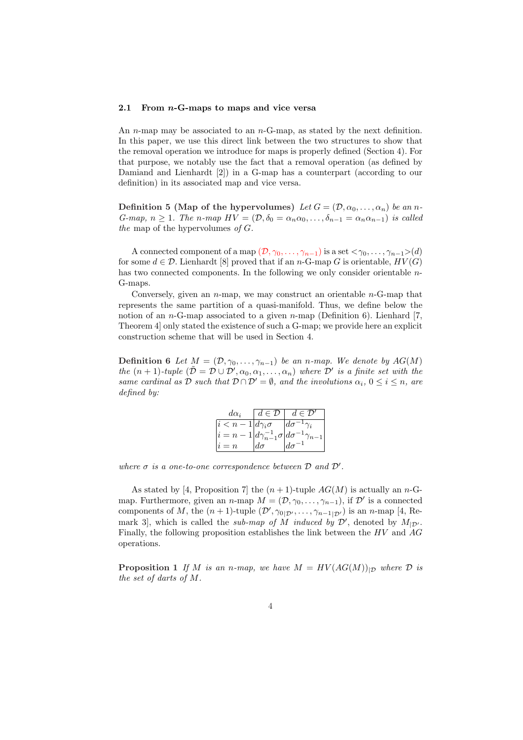#### 2.1 From  $n$ -G-maps to maps and vice versa

An *n*-map may be associated to an *n*-G-map, as stated by the next definition. In this paper, we use this direct link between the two structures to show that the removal operation we introduce for maps is properly defined (Section 4). For that purpose, we notably use the fact that a removal operation (as defined by Damiand and Lienhardt [2]) in a G-map has a counterpart (according to our definition) in its associated map and vice versa.

Definition 5 (Map of the hypervolumes) Let  $G = (\mathcal{D}, \alpha_0, \dots, \alpha_n)$  be an n-G-map,  $n \geq 1$ . The n-map  $HV = (\mathcal{D}, \delta_0 = \alpha_n \alpha_0, \ldots, \delta_{n-1} = \alpha_n \alpha_{n-1})$  is called the map of the hypervolumes of  $G$ .

A connected component of a map  $(\mathcal{D}, \gamma_0, \ldots, \gamma_{n-1})$  is a set  $\langle \gamma_0, \ldots, \gamma_{n-1} \rangle(d)$ for some  $d \in \mathcal{D}$ . Lienhardt [8] proved that if an *n*-G-map G is orientable,  $HV(G)$ has two connected components. In the following we only consider orientable *n*-G-maps.

Conversely, given an  $n$ -map, we may construct an orientable  $n$ -G-map that represents the same partition of a quasi-manifold. Thus, we define below the notion of an  $n-\text{G-map}$  associated to a given n-map (Definition 6). Lienhard [7, Theorem 4] only stated the existence of such a G-map; we provide here an explicit construction scheme that will be used in Section 4.

**Definition 6** Let  $M = (\mathcal{D}, \gamma_0, \dots, \gamma_{n-1})$  be an n-map. We denote by  $AG(M)$ the  $(n + 1)$ -tuple  $(\tilde{\mathcal{D}} = \mathcal{D} \cup \mathcal{D}', \alpha_0, \alpha_1, \ldots, \alpha_n)$  where  $\mathcal{D}'$  is a finite set with the same cardinal as D such that  $D \cap D' = \emptyset$ , and the involutions  $\alpha_i, 0 \leq i \leq n$ , are defined by:

| $d\alpha_i$                                                    | $d \in \mathcal{D}$ | $d \in \mathcal{D}'$ |
|----------------------------------------------------------------|---------------------|----------------------|
| $\sqrt{2n-1}d\gamma_i\sigma$                                   |                     |                      |
| $i = n - 1 \vert d\gamma_{n-1}^{-1} \sigma \vert d\sigma^{-1}$ |                     |                      |
| $= n$                                                          |                     |                      |

where  $\sigma$  is a one-to-one correspondence between  $\mathcal D$  and  $\mathcal D'$ .

As stated by [4, Proposition 7] the  $(n+1)$ -tuple  $AG(M)$  is actually an n-Gmap. Furthermore, given an n-map  $M = (\mathcal{D}, \gamma_0, \ldots, \gamma_{n-1})$ , if  $\mathcal{D}'$  is a connected components of M, the  $(n+1)$ -tuple  $(\mathcal{D}', \gamma_{0|\mathcal{D}'}, \ldots, \gamma_{n-1|\mathcal{D}'})$  is an n-map [4, Remark 3, which is called the *sub-map of* M induced by  $\mathcal{D}'$ , denoted by  $M_{|\mathcal{D}'}$ . Finally, the following proposition establishes the link between the  $HV$  and  $AG$ operations.

**Proposition 1** If M is an n-map, we have  $M = HV(AG(M))_{|D}$  where D is the set of darts of M.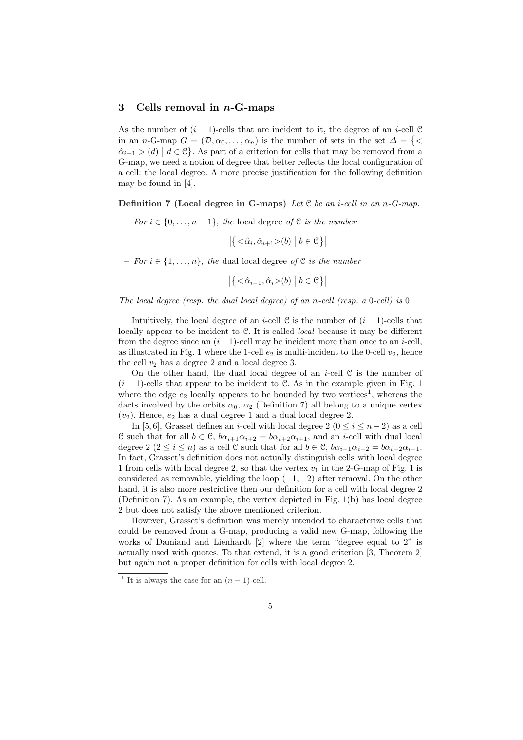#### 3 Cells removal in  $n$ -G-maps

As the number of  $(i + 1)$ -cells that are incident to it, the degree of an *i*-cell C in an n-G-map  $G = (\mathcal{D}, \alpha_0, \dots, \alpha_n)$  is the number of sets in the set  $\Delta = \{ \leq \alpha_0, \dots, \alpha_n \}$  $\hat{\alpha}_{i+1} > (d) | d \in \mathcal{C}$ . As part of a criterion for cells that may be removed from a G-map, we need a notion of degree that better reflects the local configuration of a cell: the local degree. A more precise justification for the following definition may be found in [4].

Definition 7 (Local degree in G-maps) Let  $C$  be an *i*-cell in an *n*-G-map.

– For  $i \in \{0, \ldots, n-1\}$ , the local degree of C is the number

 $\overline{\mathcal{A}}$  $<\hat{\alpha}_i, \hat{\alpha}_{i+1}>(b)$  $\vert b \in \mathcal{C} \} \vert$ 

– For  $i \in \{1, \ldots, n\}$ , the dual local degree of C is the number

$$
\left| \left\{ <\hat{\alpha}_{i-1}, \hat{\alpha}_i > (b) \; \middle| \; b \in \mathcal{C} \right\} \right|
$$

The local degree (resp. the dual local degree) of an n-cell (resp. a  $0$ -cell) is  $0$ .

Intuitively, the local degree of an *i*-cell  $C$  is the number of  $(i + 1)$ -cells that locally appear to be incident to C. It is called local because it may be different from the degree since an  $(i+1)$ -cell may be incident more than once to an *i*-cell, as illustrated in Fig. 1 where the 1-cell  $e_2$  is multi-incident to the 0-cell  $v_2$ , hence the cell  $v_2$  has a degree 2 and a local degree 3.

On the other hand, the dual local degree of an *i*-cell  $\mathcal C$  is the number of  $(i-1)$ -cells that appear to be incident to C. As in the example given in Fig. 1 where the edge  $e_2$  locally appears to be bounded by two vertices<sup>1</sup>, whereas the darts involved by the orbits  $\alpha_0$ ,  $\alpha_2$  (Definition 7) all belong to a unique vertex  $(v_2)$ . Hence,  $e_2$  has a dual degree 1 and a dual local degree 2.

In [5, 6], Grasset defines an *i*-cell with local degree 2 ( $0 \le i \le n-2$ ) as a cell C such that for all  $b \in \mathcal{C}$ ,  $b\alpha_{i+1}\alpha_{i+2} = b\alpha_{i+2}\alpha_{i+1}$ , and an *i*-cell with dual local degree 2 (2 ≤ i ≤ n) as a cell C such that for all  $b \in \mathcal{C}$ ,  $b\alpha_{i-1}\alpha_{i-2} = b\alpha_{i-2}\alpha_{i-1}$ . In fact, Grasset's definition does not actually distinguish cells with local degree 1 from cells with local degree 2, so that the vertex  $v_1$  in the 2-G-map of Fig. 1 is considered as removable, yielding the loop  $(-1, -2)$  after removal. On the other hand, it is also more restrictive then our definition for a cell with local degree 2 (Definition 7). As an example, the vertex depicted in Fig. 1(b) has local degree 2 but does not satisfy the above mentioned criterion.

However, Grasset's definition was merely intended to characterize cells that could be removed from a G-map, producing a valid new G-map, following the works of Damiand and Lienhardt [2] where the term "degree equal to 2" is actually used with quotes. To that extend, it is a good criterion [3, Theorem 2] but again not a proper definition for cells with local degree 2.

<sup>&</sup>lt;sup>1</sup> It is always the case for an  $(n-1)$ -cell.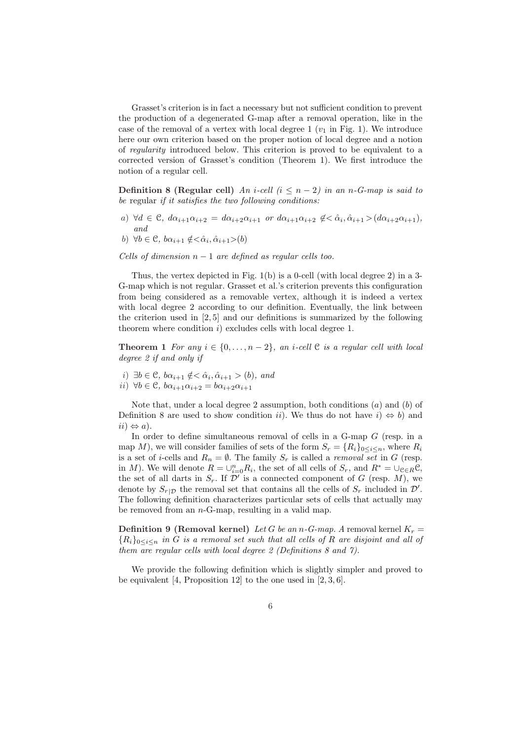Grasset's criterion is in fact a necessary but not sufficient condition to prevent the production of a degenerated G-map after a removal operation, like in the case of the removal of a vertex with local degree  $1 (v_1$  in Fig. 1). We introduce here our own criterion based on the proper notion of local degree and a notion of regularity introduced below. This criterion is proved to be equivalent to a corrected version of Grasset's condition (Theorem 1). We first introduce the notion of a regular cell.

Definition 8 (Regular cell) An i-cell  $(i \leq n-2)$  in an n-G-map is said to be regular if it satisfies the two following conditions:

- a)  $\forall d \in \mathcal{C}, d\alpha_{i+1}\alpha_{i+2} = d\alpha_{i+2}\alpha_{i+1}$  or  $d\alpha_{i+1}\alpha_{i+2} \notin <\hat{\alpha}_i, \hat{\alpha}_{i+1} > (d\alpha_{i+2}\alpha_{i+1}),$ and
- b)  $\forall b \in \mathcal{C}, b\alpha_{i+1} \notin <\hat{\alpha}_i, \hat{\alpha}_{i+1}>$

Cells of dimension  $n-1$  are defined as regular cells too.

Thus, the vertex depicted in Fig. 1(b) is a 0-cell (with local degree 2) in a 3- G-map which is not regular. Grasset et al.'s criterion prevents this configuration from being considered as a removable vertex, although it is indeed a vertex with local degree 2 according to our definition. Eventually, the link between the criterion used in [2, 5] and our definitions is summarized by the following theorem where condition i) excludes cells with local degree 1.

Theorem 1 For any  $i \in \{0, ..., n-2\}$ , an i-cell  $\mathfrak C$  is a regular cell with local degree 2 if and only if

- i) ∃ $b \in \mathcal{C}$ ,  $b\alpha_{i+1} \notin <\hat{\alpha}_i, \hat{\alpha}_{i+1} > (b)$ , and
- ii)  $\forall b \in \mathcal{C}, b\alpha_{i+1}\alpha_{i+2} = b\alpha_{i+2}\alpha_{i+1}$

Note that, under a local degree 2 assumption, both conditions  $(a)$  and  $(b)$  of Definition 8 are used to show condition ii). We thus do not have  $i) \Leftrightarrow b$  and  $ii) \Leftrightarrow a$ ).

In order to define simultaneous removal of cells in a G-map G (resp. in a map M), we will consider families of sets of the form  $S_r = \{R_i\}_{0 \le i \le n}$ , where  $R_i$ is a set of *i*-cells and  $R_n = \emptyset$ . The family  $S_r$  is called a *removal set* in G (resp. in M). We will denote  $R = \bigcup_{i=0}^{n} R_i$ , the set of all cells of  $S_r$ , and  $R^* = \bigcup_{\mathcal{C} \in R} \mathcal{C}$ , the set of all darts in  $S_r$ . If  $\mathcal{D}'$  is a connected component of G (resp. M), we denote by  $S_{r|\mathcal{D}}$  the removal set that contains all the cells of  $S_r$  included in  $\mathcal{D}'$ . The following definition characterizes particular sets of cells that actually may be removed from an  $n$ -G-map, resulting in a valid map.

**Definition 9 (Removal kernel)** Let G be an n-G-map. A removal kernel  $K_r =$  ${R_i}_{0\leq i\leq n}$  in G is a removal set such that all cells of R are disjoint and all of them are regular cells with local degree  $2$  (Definitions  $8$  and  $7$ ).

We provide the following definition which is slightly simpler and proved to be equivalent [4, Proposition 12] to the one used in  $[2, 3, 6]$ .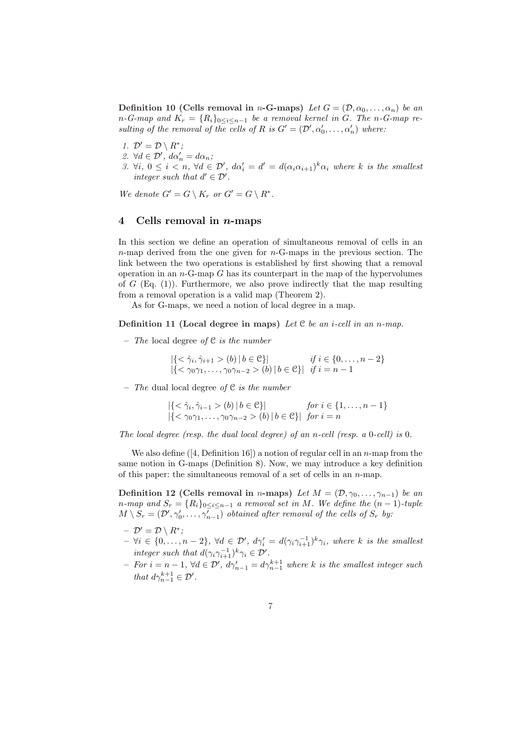Definition 10 (Cells removal in n-G-maps) Let  $G = (\mathcal{D}, \alpha_0, \dots, \alpha_n)$  be an n-G-map and  $K_r = \{R_i\}_{0 \leq i \leq n-1}$  be a removal kernel in G. The n-G-map resulting of the removal of the cells of R is  $G' = (\mathcal{D}', \alpha'_0, \ldots, \alpha'_n)$  where:

- 1.  $\mathcal{D}' = \mathcal{D} \setminus R^*$ ;
- 2.  $\forall d \in \mathcal{D}'$ ,  $d\alpha'_n = d\alpha_n$ ;
- 3.  $\forall i, 0 \leq i < n, \forall d \in \mathcal{D}'$ ,  $d\alpha'_i = d' = d(\alpha_i \alpha_{i+1})^k \alpha_i$  where k is the smallest integer such that  $d' \in \mathcal{D}'$ .

We denote  $G' = G \setminus K_r$  or  $G' = G \setminus R^*$ .

#### 4 Cells removal in  $n$ -maps

In this section we define an operation of simultaneous removal of cells in an  $n$ -map derived from the one given for  $n$ -G-maps in the previous section. The link between the two operations is established by first showing that a removal operation in an  $n$ -G-map  $G$  has its counterpart in the map of the hypervolumes of  $G$  (Eq. (1)). Furthermore, we also prove indirectly that the map resulting from a removal operation is a valid map (Theorem 2).

As for G-maps, we need a notion of local degree in a map.

Definition 11 (Local degree in maps) Let  $C$  be an i-cell in an n-map.

– The local degree of  $C$  is the number

$$
|\{<\hat{\gamma}_i, \hat{\gamma}_{i+1} > (b) | b \in \mathbb{C}\}| \quad \text{if } i \in \{0, \dots, n-2\} |\{<\gamma_0\gamma_1, \dots, \gamma_0\gamma_{n-2} > (b) | b \in \mathbb{C}\}| \quad \text{if } i = n-1
$$

– The dual local degree of  $C$  is the number

$$
|\{<\hat{\gamma}_i, \hat{\gamma}_{i-1} > (b) | b \in \mathcal{C}\}| \quad \text{for } i \in \{1, ..., n-1\}
$$
  

$$
|\{<\gamma_0\gamma_1, ..., \gamma_0\gamma_{n-2} > (b) | b \in \mathcal{C}\}| \quad \text{for } i = n
$$

The local degree (resp. the dual local degree) of an n-cell (resp. a 0-cell) is 0.

We also define  $(4, Definition 16)$  a notion of regular cell in an *n*-map from the same notion in G-maps (Definition 8). Now, we may introduce a key definition of this paper: the simultaneous removal of a set of cells in an  $n$ -map.

Definition 12 (Cells removal in n-maps) Let  $M = (\mathcal{D}, \gamma_0, \ldots, \gamma_{n-1})$  be an n-map and  $S_r = \{R_i\}_{0 \leq i \leq n-1}$  a removal set in M. We define the  $(n-1)$ -tuple  $M \setminus S_r = (\mathcal{D}', \gamma'_0, \ldots, \gamma'_{n-1})$  obtained after removal of the cells of  $S_r$  by:

- $\mathcal{D}' = \mathcal{D} \setminus R^*;$
- $-\forall i \in \{0,\ldots,n-2\}, \ \forall d \in \mathcal{D}', \ d\gamma_i' = d(\gamma_i \gamma_{i+1}^{-1})^k \gamma_i, \ where \ k \ is \ the \ smallest$ integer such that  $d(\gamma_i \gamma_{i+1}^{-1})^k \gamma_i \in \mathcal{D}'$ .
- $-$  For  $i = n 1$ , ∀d ∈  $\mathcal{D}'$ ,  $d\gamma'_{n-1} = d\gamma_{n-1}^{k+1}$  where k is the smallest integer such that  $d\gamma_{n-1}^{k+1} \in \mathcal{D}'$ .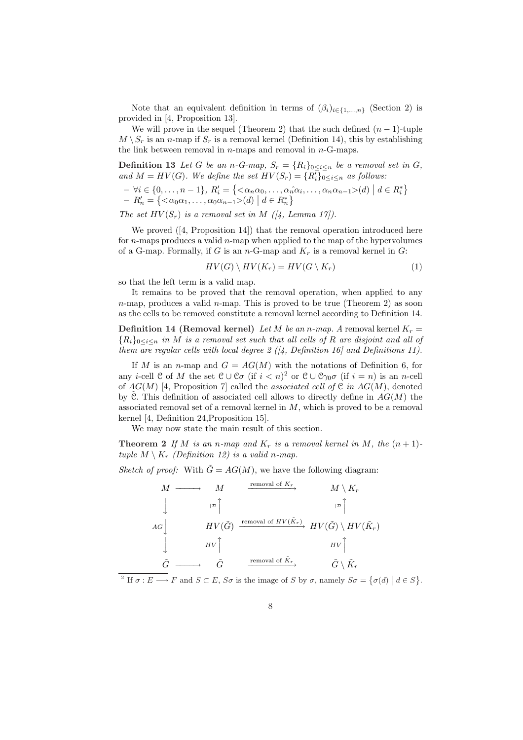Note that an equivalent definition in terms of  $(\beta_i)_{i\in\{1,\ldots,n\}}$  (Section 2) is provided in [4, Proposition 13].

We will prove in the sequel (Theorem 2) that the such defined  $(n-1)$ -tuple  $M \setminus S_r$  is an *n*-map if  $S_r$  is a removal kernel (Definition 14), this by establishing the link between removal in  $n$ -maps and removal in  $n$ -G-maps.

**Definition 13** Let G be an n-G-map,  $S_r = \{R_i\}_{0 \le i \le n}$  be a removal set in G, and  $M = HV(G)$ . We define the set  $HV(S_r) = \{R_i\}_{0 \leq i \leq n}$  as follows: ª

$$
-\forall i \in \{0,\ldots,n-1\}, R'_i = \left\{ \langle \alpha_n \alpha_0,\ldots,\alpha_n \hat{\alpha}_i,\ldots,\alpha_n \alpha_{n-1} \rangle(d) \mid d \in R_i^* \right\}
$$
  
- 
$$
R'_n = \left\{ \langle \alpha_0 \alpha_1,\ldots,\alpha_0 \alpha_{n-1} \rangle(d) \mid d \in R_n^* \right\}
$$

The set  $HV(S_r)$  is a removal set in M ([4, Lemma 17]).

We proved  $(4,$  Proposition 14. That the removal operation introduced here for  $n$ -maps produces a valid  $n$ -map when applied to the map of the hypervolumes of a G-map. Formally, if G is an n-G-map and  $K_r$  is a removal kernel in G:

$$
HV(G)\setminus HV(K_r) = HV(G\setminus K_r)
$$
\n(1)

so that the left term is a valid map.

It remains to be proved that the removal operation, when applied to any  $n$ -map, produces a valid  $n$ -map. This is proved to be true (Theorem 2) as soon as the cells to be removed constitute a removal kernel according to Definition 14.

**Definition 14 (Removal kernel)** Let M be an n-map. A removal kernel  $K_r =$  ${R_i}_{0 \leq i \leq n}$  in M is a removal set such that all cells of R are disjoint and all of them are regular cells with local degree  $2$  ([4, Definition 16] and Definitions 11).

If M is an n-map and  $G = AG(M)$  with the notations of Definition 6, for any *i*-cell C of M the set  $C \cup C\sigma$  (if  $i < n$ )<sup>2</sup> or  $C \cup C\gamma_0\sigma$  (if  $i = n$ ) is an *n*-cell of  $AG(M)$  [4, Proposition 7] called the *associated cell of*  $C$  in  $AG(M)$ , denoted by C. This definition of associated cell allows to directly define in  $AG(M)$  the associated removal set of a removal kernel in  $M$ , which is proved to be a removal kernel [4, Definition 24,Proposition 15].

We may now state the main result of this section.

**Theorem 2** If M is an n-map and  $K_r$  is a removal kernel in M, the  $(n + 1)$ tuple  $M \setminus K_r$  (Definition 12) is a valid n-map.

Sketch of proof: With  $\tilde{G} = AG(M)$ , we have the following diagram:



 $\overline{P}$  If  $\sigma : E \longrightarrow F$  and  $S \subset E$ ,  $S\sigma$  is the image of S by  $\sigma$ , namely  $S\sigma = {\sigma(d) | d \in S}$ .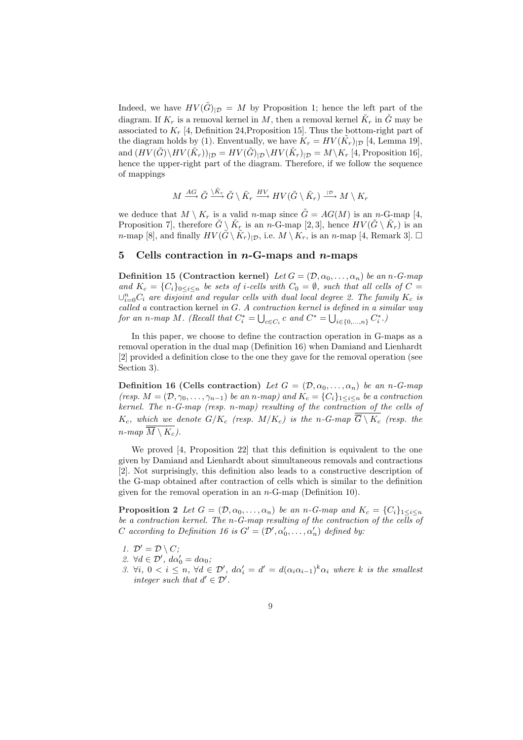Indeed, we have  $HV(\tilde{G})_{|\mathcal{D}} = M$  by Proposition 1; hence the left part of the diagram. If  $K_r$  is a removal kernel in M, then a removal kernel  $\tilde{K}_r$  in  $\tilde{G}$  may be associated to  $K_r$  [4, Definition 24, Proposition 15]. Thus the bottom-right part of the diagram holds by (1). Enventually, we have  $K_r = HV(\tilde{K}_r)_{|\mathcal{D}|}[4]$ . Lemma 19], and  $(HV(\tilde{G})\backslash HV(\tilde{K}_r))_{|\mathcal{D}} = HV(\tilde{G})_{|\mathcal{D}}\backslash HV(\tilde{K}_r)_{|\mathcal{D}} = M\backslash K_r$  [4, Proposition 16], hence the upper-right part of the diagram. Therefore, if we follow the sequence of mappings

$$
M \stackrel{AG}{\longrightarrow} \tilde{G} \stackrel{\backslash \tilde{K}_r}{\longrightarrow} \tilde{G} \setminus \tilde{K}_r \stackrel{HV}{\longrightarrow} HV(\tilde{G} \setminus \tilde{K}_r) \stackrel{|\mathcal{D}|}{\longrightarrow} M \setminus K_r
$$

we deduce that  $M \setminus K_r$  is a valid *n*-map since  $\tilde{G} = AG(M)$  is an *n*-G-map [4, Proposition 7, therefore  $\tilde{G} \setminus \tilde{K}_r$  is an n-G-map [2, 3], hence  $HV(\tilde{G} \setminus \tilde{K}_r)$  is an *n*-map [8], and finally  $HV(\tilde{G} \setminus \tilde{K}_r)_{|\mathcal{D}}$ , i.e.  $M \setminus K_r$ , is an *n*-map [4, Remark 3].  $\Box$ 

#### 5 Cells contraction in  $n$ -G-maps and  $n$ -maps

Definition 15 (Contraction kernel) Let  $G = (\mathcal{D}, \alpha_0, \dots, \alpha_n)$  be an n-G-map and  $K_c = \{C_i\}_{0 \leq i \leq n}$  be sets of i-cells with  $C_0 = \emptyset$ , such that all cells of  $C =$  $\cup_{i=0}^n C_i$  are disjoint and regular cells with dual local degree 2. The family  $K_c$  is called a contraction kernel in G. A contraction kernel is defined in a similar way for an n-map M. (Recall that  $C_i^* = \bigcup_{c \in C_i} c$  and  $C^* = \bigcup_{i \in \{0, ..., n\}} C_i^*$ .)

In this paper, we choose to define the contraction operation in G-maps as a removal operation in the dual map (Definition 16) when Damiand and Lienhardt [2] provided a definition close to the one they gave for the removal operation (see Section 3).

Definition 16 (Cells contraction) Let  $G = (\mathcal{D}, \alpha_0, \ldots, \alpha_n)$  be an n-G-map (resp.  $M = (\mathcal{D}, \gamma_0, \dots, \gamma_{n-1})$  be an n-map) and  $K_c = \{C_i\}_{1 \leq i \leq n}$  be a contraction kernel. The n-G-map (resp. n-map) resulting of the contraction of the cells of  $K_c$ , which we denote  $G/K_c$  (resp.  $M/K_c$ ) is the n-G-map  $\overline{\overline{G} \setminus K_c}$  (resp. the  $n$ -map  $\overline{M} \setminus K_c$ ).

We proved [4, Proposition 22] that this definition is equivalent to the one given by Damiand and Lienhardt about simultaneous removals and contractions [2]. Not surprisingly, this definition also leads to a constructive description of the G-map obtained after contraction of cells which is similar to the definition given for the removal operation in an  $n-\text{G-map}$  (Definition 10).

**Proposition 2** Let  $G = (\mathcal{D}, \alpha_0, \dots, \alpha_n)$  be an n-G-map and  $K_c = \{C_i\}_{1 \leq i \leq n}$ be a contraction kernel. The n-G-map resulting of the contraction of the cells of C according to Definition 16 is  $G' = (\mathcal{D}', \alpha'_0, \ldots, \alpha'_n)$  defined by:

- 1.  $\mathcal{D}' = \mathcal{D} \setminus C$ ;
- 2.  $\forall d \in \mathcal{D}'$ ,  $d\alpha'_0 = d\alpha_0$ ;
- 3.  $\forall i, 0 \leq i \leq n, \forall d \in \mathcal{D}'$ ,  $d\alpha'_i = d' = d(\alpha_i \alpha_{i-1})^k \alpha_i$  where k is the smallest integer such that  $d' \in \mathcal{D}'$ .